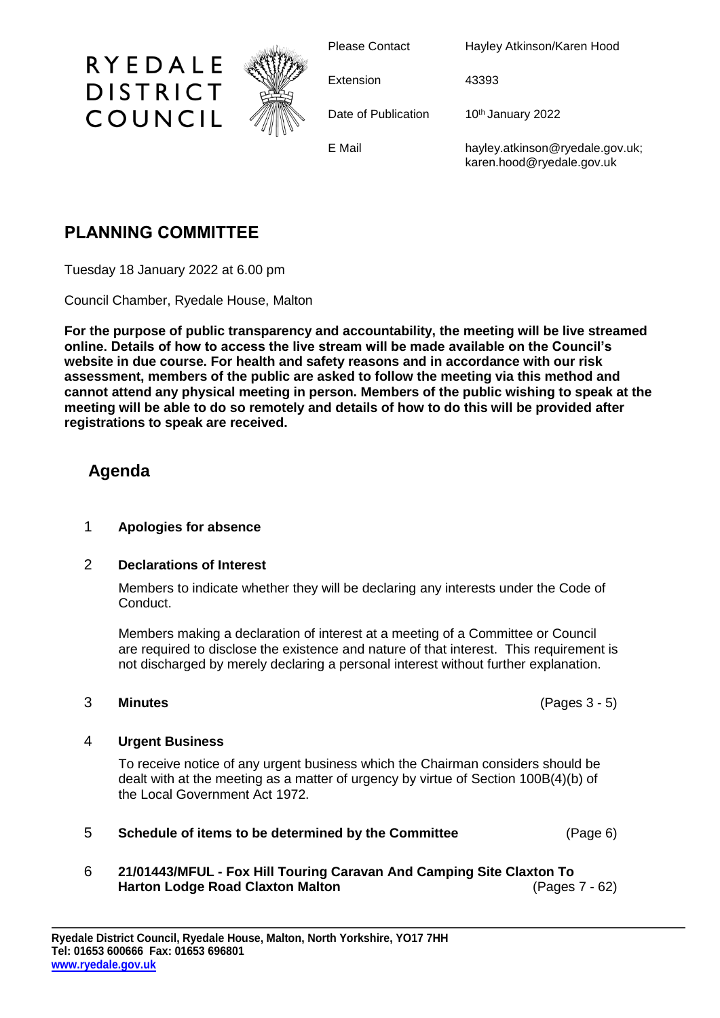

Please Contact Hayley Atkinson/Karen Hood

Extension 43393

Date of Publication 10th January 2022

E Mail hayley.atkinson@ryedale.gov.uk; karen.hood@ryedale.gov.uk

# **PLANNING COMMITTEE**

Tuesday 18 January 2022 at 6.00 pm

Council Chamber, Ryedale House, Malton

**For the purpose of public transparency and accountability, the meeting will be live streamed online. Details of how to access the live stream will be made available on the Council's website in due course. For health and safety reasons and in accordance with our risk assessment, members of the public are asked to follow the meeting via this method and cannot attend any physical meeting in person. Members of the public wishing to speak at the meeting will be able to do so remotely and details of how to do this will be provided after registrations to speak are received.**

## **Agenda**

### 1 **Apologies for absence**

### 2 **Declarations of Interest**

Members to indicate whether they will be declaring any interests under the Code of Conduct.

Members making a declaration of interest at a meeting of a Committee or Council are required to disclose the existence and nature of that interest. This requirement is not discharged by merely declaring a personal interest without further explanation.

### 3 **Minutes** (Pages 3 - 5)

### 4 **Urgent Business**

To receive notice of any urgent business which the Chairman considers should be dealt with at the meeting as a matter of urgency by virtue of Section 100B(4)(b) of the Local Government Act 1972.

- 5 **Schedule of items to be determined by the Committee** (Page 6)
- 6 **21/01443/MFUL - Fox Hill Touring Caravan And Camping Site Claxton To Harton Lodge Road Claxton Malton** (Pages 7 - 62)